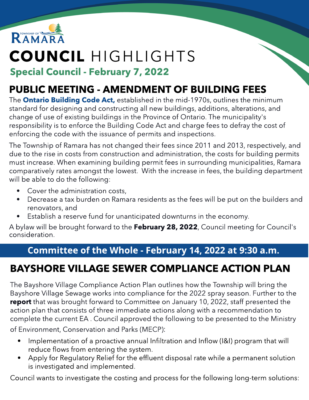

# COUNCIL HIGHLIGHTS

#### Special Council - February 7, 2022

### PUBLIC MEETING - AMENDMENT OF BUILDING FEES

The **[Ontario](https://www.ontario.ca/laws/regulation/120332) [Building](https://www.ontario.ca/laws/regulation/120332) [Code](https://www.ontario.ca/laws/regulation/120332) [Act,](https://www.ontario.ca/laws/regulation/120332)** established in the mid-1970s, outlines the minimum standard for designing and constructing all new buildings, additions, alterations, and change of use of existing buildings in the Province of Ontario. The municipality's responsibility is to enforce the Building Code Act and charge fees to defray the cost of enforcing the code with the issuance of permits and inspections.

The Township of Ramara has not changed their fees since 2011 and 2013, respectively, and due to the rise in costs from construction and administration, the costs for building permits must increase. When examining building permit fees in surrounding municipalities, Ramara comparatively rates amongst the lowest. With the increase in fees, the building department will be able to do the following:

- Cover the administration costs,
- Decrease a tax burden on Ramara residents as the fees will be put on the builders and renovators, and
- Establish a reserve fund for unanticipated downturns in the economy.

A bylaw will be brought forward to the February 28, 2022, Council meeting for Council's consideration.

#### Committee of the Whole - February 14, 2022 at 9:30 a.m.

## BAYSHORE VILLAGE SEWER COMPLIANCE ACTION PLAN

The Bayshore Village Compliance Action Plan outlines how the Township will bring the Bayshore Village Sewage works into compliance for the 2022 spray season. Further to the report that was brought forward to Committee on January 10, 2022, staff presented the action plan that consists of three immediate actions along with a recommendation to complete the current EA . Council approved the following to be presented to the Ministry of Environment, Conservation and Parks (MECP):

- Implementation of a proactive annual Infiltration and Inflow (I&I) program that will reduce flows from entering the system.
- Apply for Regulatory Relief for the effluent disposal rate while a permanent solution is investigated and implemented.

Council wants to investigate the costing and process for the following long-term solutions: